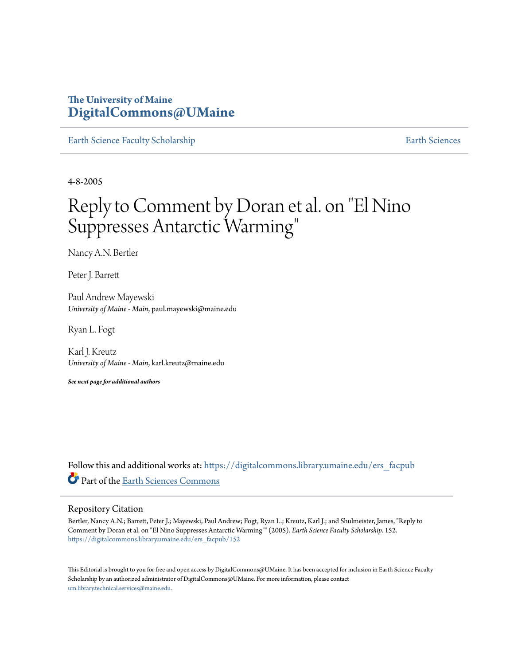## **The University of Maine [DigitalCommons@UMaine](https://digitalcommons.library.umaine.edu?utm_source=digitalcommons.library.umaine.edu%2Fers_facpub%2F152&utm_medium=PDF&utm_campaign=PDFCoverPages)**

[Earth Science Faculty Scholarship](https://digitalcommons.library.umaine.edu/ers_facpub?utm_source=digitalcommons.library.umaine.edu%2Fers_facpub%2F152&utm_medium=PDF&utm_campaign=PDFCoverPages) **[Earth Sciences](https://digitalcommons.library.umaine.edu/ers?utm_source=digitalcommons.library.umaine.edu%2Fers_facpub%2F152&utm_medium=PDF&utm_campaign=PDFCoverPages)** 

4-8-2005

# Reply to Comment by Doran et al. on "El Nino Suppresses Antarctic Warming "

Nancy A.N. Bertler

Peter J. Barrett

Paul Andrew Mayewski *University of Maine - Main*, paul.mayewski@maine.edu

Ryan L. Fogt

Karl J. Kreutz *University of Maine - Main*, karl.kreutz@maine.edu

*See next page for additional authors*

Follow this and additional works at: [https://digitalcommons.library.umaine.edu/ers\\_facpub](https://digitalcommons.library.umaine.edu/ers_facpub?utm_source=digitalcommons.library.umaine.edu%2Fers_facpub%2F152&utm_medium=PDF&utm_campaign=PDFCoverPages) Part of the [Earth Sciences Commons](http://network.bepress.com/hgg/discipline/153?utm_source=digitalcommons.library.umaine.edu%2Fers_facpub%2F152&utm_medium=PDF&utm_campaign=PDFCoverPages)

#### Repository Citation

Bertler, Nancy A.N.; Barrett, Peter J.; Mayewski, Paul Andrew; Fogt, Ryan L.; Kreutz, Karl J.; and Shulmeister, James, "Reply to Comment by Doran et al. on "El Nino Suppresses Antarctic Warming"" (2005). *Earth Science Faculty Scholarship*. 152. [https://digitalcommons.library.umaine.edu/ers\\_facpub/152](https://digitalcommons.library.umaine.edu/ers_facpub/152?utm_source=digitalcommons.library.umaine.edu%2Fers_facpub%2F152&utm_medium=PDF&utm_campaign=PDFCoverPages)

This Editorial is brought to you for free and open access by DigitalCommons@UMaine. It has been accepted for inclusion in Earth Science Faculty Scholarship by an authorized administrator of DigitalCommons@UMaine. For more information, please contact [um.library.technical.services@maine.edu](mailto:um.library.technical.services@maine.edu).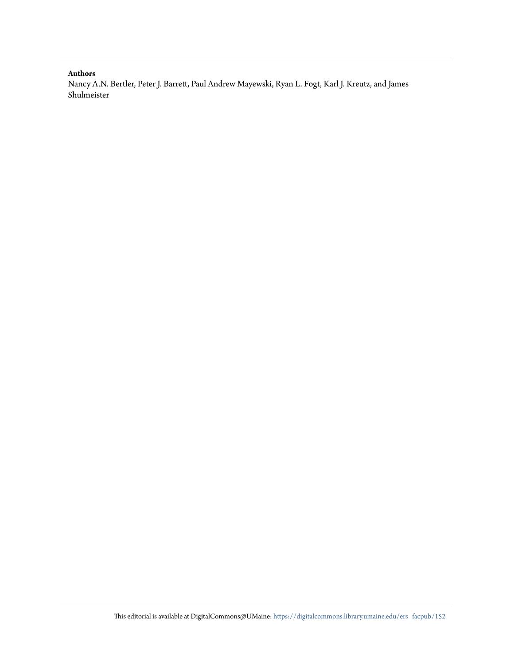### **Authors**

Nancy A.N. Bertler, Peter J. Barrett, Paul Andrew Mayewski, Ryan L. Fogt, Karl J. Kreutz, and James Shulmeister